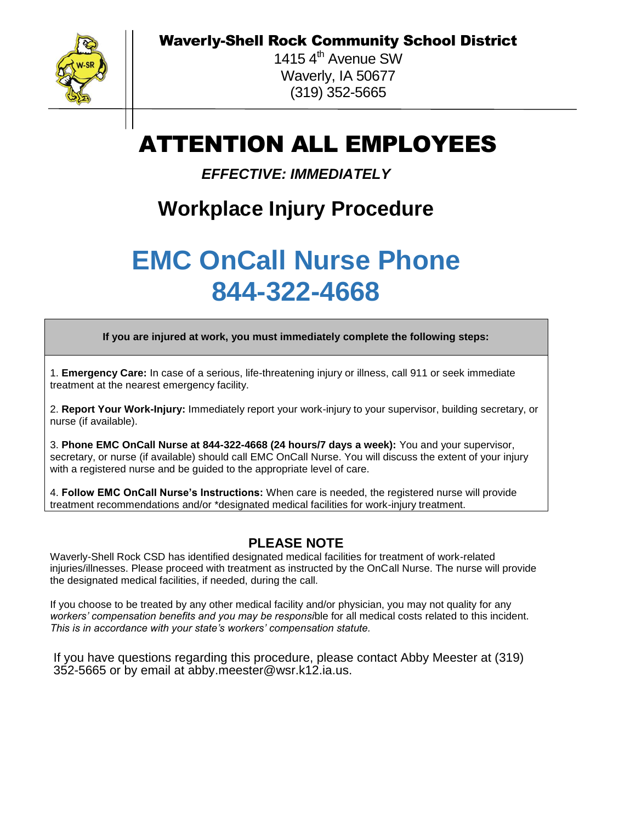Waverly-Shell Rock Community School District



1415  $4<sup>th</sup>$  Avenue SW Waverly, IA 50677 (319) 352-5665

## ATTENTION ALL EMPLOYEES

*EFFECTIVE: IMMEDIATELY*

## **Workplace Injury Procedure**

## **EMC OnCall Nurse Phone 844-322-4668**

**If you are injured at work, you must immediately complete the following steps:**

1. **Emergency Care:** In case of a serious, life-threatening injury or illness, call 911 or seek immediate treatment at the nearest emergency facility.

2. **Report Your Work-Injury:** Immediately report your work-injury to your supervisor, building secretary, or nurse (if available).

3. **Phone EMC OnCall Nurse at 844-322-4668 (24 hours/7 days a week):** You and your supervisor, secretary, or nurse (if available) should call EMC OnCall Nurse. You will discuss the extent of your injury with a registered nurse and be guided to the appropriate level of care.

4. **Follow EMC OnCall Nurse's Instructions:** When care is needed, the registered nurse will provide treatment recommendations and/or \*designated medical facilities for work-injury treatment.

## **PLEASE NOTE**

Waverly-Shell Rock CSD has identified designated medical facilities for treatment of work-related injuries/illnesses. Please proceed with treatment as instructed by the OnCall Nurse. The nurse will provide the designated medical facilities, if needed, during the call.

If you choose to be treated by any other medical facility and/or physician, you may not quality for any *workers' compensation benefits and you may be responsi*ble for all medical costs related to this incident. *This is in accordance with your state's workers' compensation statute.* 

If you have questions regarding this procedure, please contact Abby Meester at (319) 352-5665 or by email at abby.meester@wsr.k12.ia.us.